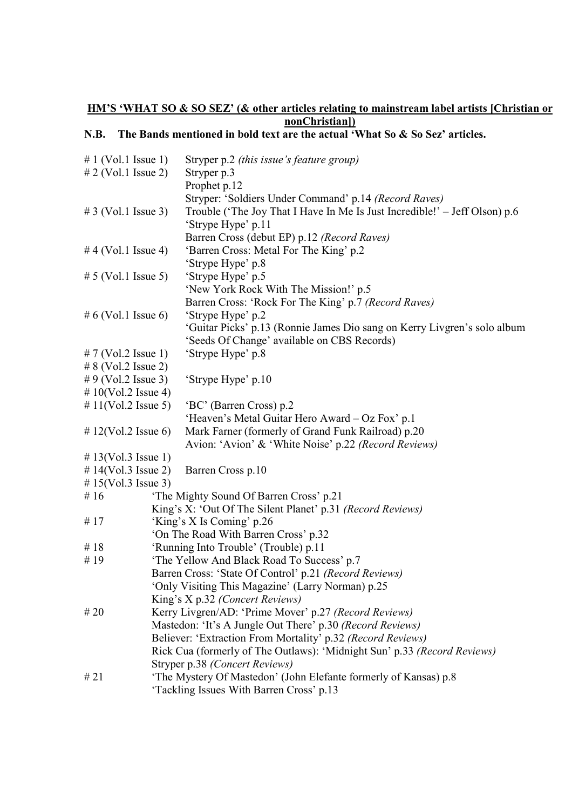## **HMíS ëWHAT SO & SO SEZí (& other articles relating to mainstream label artists [Christian or nonChristian])**

## **N.B. The Bands mentioned in bold text are the actual ëWhat So & So Sezí articles.**

| # 1 (Vol.1 Issue 1)   | Stryper p.2 <i>(this issue's feature group)</i>                            |
|-----------------------|----------------------------------------------------------------------------|
| $# 2$ (Vol.1 Issue 2) | Stryper p.3                                                                |
|                       | Prophet p.12                                                               |
|                       | Stryper: 'Soldiers Under Command' p.14 (Record Raves)                      |
| # 3 (Vol.1 Issue 3)   | Trouble ('The Joy That I Have In Me Is Just Incredible!' – Jeff Olson) p.6 |
|                       | 'Strype Hype' p.11                                                         |
|                       | Barren Cross (debut EP) p.12 (Record Raves)                                |
| #4 (Vol.1 Issue 4)    | 'Barren Cross: Metal For The King' p.2                                     |
|                       | 'Strype Hype' p.8                                                          |
| # 5 (Vol.1 Issue 5)   | 'Strype Hype' p.5                                                          |
|                       | 'New York Rock With The Mission!' p.5                                      |
|                       | Barren Cross: 'Rock For The King' p.7 (Record Raves)                       |
| # 6 (Vol.1 Issue 6)   | 'Strype Hype' p.2                                                          |
|                       | 'Guitar Picks' p.13 (Ronnie James Dio sang on Kerry Livgren's solo album   |
|                       | 'Seeds Of Change' available on CBS Records)                                |
| # 7 (Vol.2 Issue 1)   | 'Strype Hype' p.8                                                          |
| $# 8$ (Vol.2 Issue 2) |                                                                            |
| # 9 (Vol.2 Issue 3)   | 'Strype Hype' p.10                                                         |
| # $10(Vol.2$ Issue 4) |                                                                            |
| # 11(Vol.2 Issue 5)   | 'BC' (Barren Cross) p.2                                                    |
|                       | 'Heaven's Metal Guitar Hero Award – Oz Fox' p.1                            |
| # 12(Vol.2 Issue 6)   | Mark Farner (formerly of Grand Funk Railroad) p.20                         |
|                       | Avion: 'Avion' & 'White Noise' p.22 (Record Reviews)                       |
| # 13(Vol.3 Issue 1)   |                                                                            |
| # $14(Vol.3$ Issue 2) | Barren Cross p.10                                                          |
| # 15(Vol.3 Issue 3)   |                                                                            |
| #16                   | 'The Mighty Sound Of Barren Cross' p.21                                    |
|                       | King's X: 'Out Of The Silent Planet' p.31 (Record Reviews)                 |
| #17                   | 'King's X Is Coming' p.26                                                  |
|                       | 'On The Road With Barren Cross' p.32                                       |
| #18                   | 'Running Into Trouble' (Trouble) p.11                                      |
| #19                   | 'The Yellow And Black Road To Success' p.7                                 |
|                       | Barren Cross: 'State Of Control' p.21 (Record Reviews)                     |
|                       | 'Only Visiting This Magazine' (Larry Norman) p.25                          |
|                       | King's X p.32 (Concert Reviews)                                            |
| #20                   | Kerry Livgren/AD: 'Prime Mover' p.27 (Record Reviews)                      |
|                       | Mastedon: 'It's A Jungle Out There' p.30 (Record Reviews)                  |
|                       | Believer: 'Extraction From Mortality' p.32 (Record Reviews)                |
|                       | Rick Cua (formerly of The Outlaws): 'Midnight Sun' p.33 (Record Reviews)   |
|                       | Stryper p.38 (Concert Reviews)                                             |
| #21                   | 'The Mystery Of Mastedon' (John Elefante formerly of Kansas) p.8           |
|                       | 'Tackling Issues With Barren Cross' p.13                                   |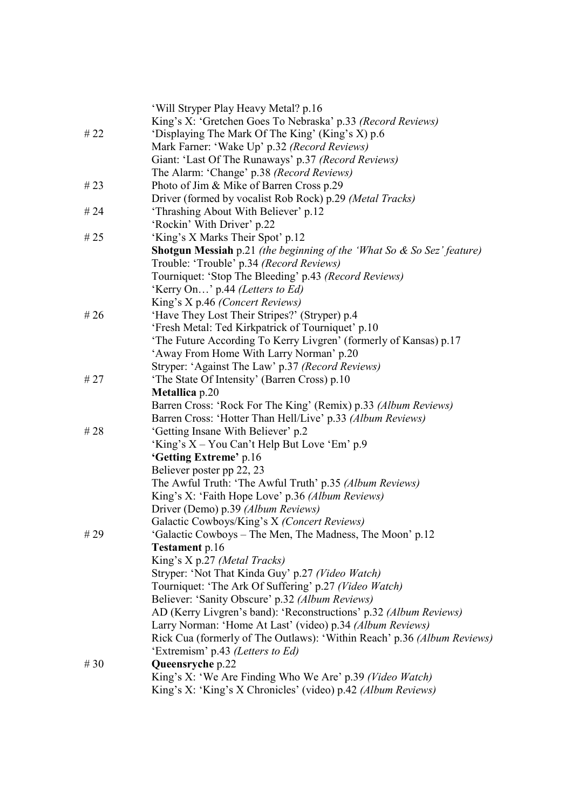|      | 'Will Stryper Play Heavy Metal? p.16                                                     |
|------|------------------------------------------------------------------------------------------|
|      | King's X: 'Gretchen Goes To Nebraska' p.33 (Record Reviews)                              |
| # 22 | 'Displaying The Mark Of The King' (King's X) p.6                                         |
|      | Mark Farner: 'Wake Up' p.32 (Record Reviews)                                             |
|      | Giant: 'Last Of The Runaways' p.37 (Record Reviews)                                      |
|      | The Alarm: 'Change' p.38 (Record Reviews)                                                |
| # 23 | Photo of Jim & Mike of Barren Cross p.29                                                 |
|      | Driver (formed by vocalist Rob Rock) p.29 (Metal Tracks)                                 |
| # 24 | 'Thrashing About With Believer' p.12                                                     |
|      | 'Rockin' With Driver' p.22                                                               |
| # 25 | 'King's X Marks Their Spot' p.12                                                         |
|      | <b>Shotgun Messiah</b> p.21 <i>(the beginning of the 'What So &amp; So Sez' feature)</i> |
|      | Trouble: 'Trouble' p.34 (Record Reviews)                                                 |
|      | Tourniquet: 'Stop The Bleeding' p.43 (Record Reviews)                                    |
|      | 'Kerry On' p.44 (Letters to Ed)                                                          |
|      | King's X p.46 (Concert Reviews)                                                          |
| # 26 | 'Have They Lost Their Stripes?' (Stryper) p.4                                            |
|      | 'Fresh Metal: Ted Kirkpatrick of Tourniquet' p.10                                        |
|      | 'The Future According To Kerry Livgren' (formerly of Kansas) p.17                        |
|      | 'Away From Home With Larry Norman' p.20                                                  |
|      | Stryper: 'Against The Law' p.37 (Record Reviews)                                         |
| # 27 | 'The State Of Intensity' (Barren Cross) p.10                                             |
|      | <b>Metallica</b> p.20                                                                    |
|      | Barren Cross: 'Rock For The King' (Remix) p.33 (Album Reviews)                           |
|      | Barren Cross: 'Hotter Than Hell/Live' p.33 (Album Reviews)                               |
| # 28 | 'Getting Insane With Believer' p.2                                                       |
|      | 'King's X – You Can't Help But Love 'Em' p.9                                             |
|      | 'Getting Extreme' p.16                                                                   |
|      | Believer poster pp 22, 23                                                                |
|      | The Awful Truth: 'The Awful Truth' p.35 (Album Reviews)                                  |
|      | King's X: 'Faith Hope Love' p.36 (Album Reviews)                                         |
|      | Driver (Demo) p.39 (Album Reviews)                                                       |
|      | Galactic Cowboys/King's X (Concert Reviews)                                              |
| # 29 | 'Galactic Cowboys - The Men, The Madness, The Moon' p.12                                 |
|      | <b>Testament</b> p.16                                                                    |
|      | King's X p.27 (Metal Tracks)                                                             |
|      | Stryper: 'Not That Kinda Guy' p.27 (Video Watch)                                         |
|      | Tourniquet: 'The Ark Of Suffering' p.27 (Video Watch)                                    |
|      | Believer: 'Sanity Obscure' p.32 (Album Reviews)                                          |
|      | AD (Kerry Livgren's band): 'Reconstructions' p.32 (Album Reviews)                        |
|      | Larry Norman: 'Home At Last' (video) p.34 (Album Reviews)                                |
|      | Rick Cua (formerly of The Outlaws): 'Within Reach' p.36 (Album Reviews)                  |
|      | 'Extremism' p.43 (Letters to Ed)                                                         |
| # 30 | Queensryche p.22                                                                         |
|      | King's X: 'We Are Finding Who We Are' p.39 (Video Watch)                                 |
|      | King's X: 'King's X Chronicles' (video) p.42 (Album Reviews)                             |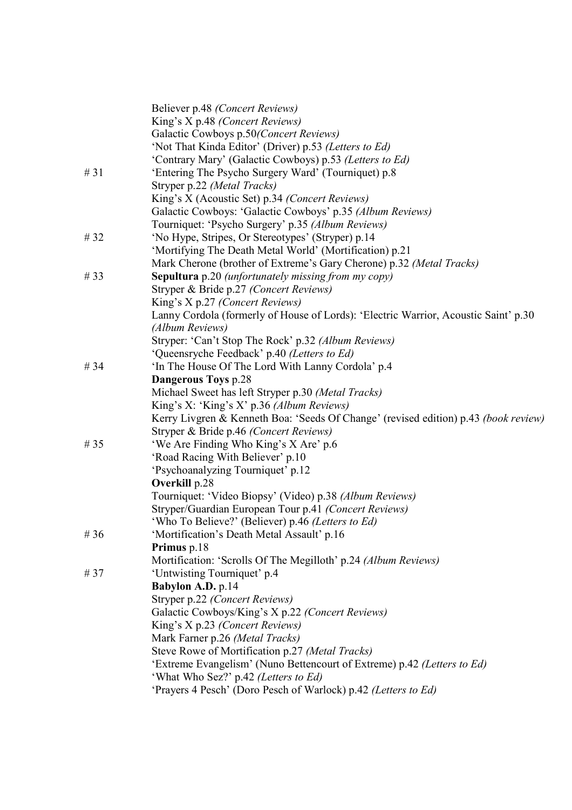|        | Believer p.48 (Concert Reviews)                                                                                 |
|--------|-----------------------------------------------------------------------------------------------------------------|
|        | King's X p.48 (Concert Reviews)                                                                                 |
|        | Galactic Cowboys p.50(Concert Reviews)                                                                          |
|        | 'Not That Kinda Editor' (Driver) p.53 (Letters to Ed)                                                           |
|        | 'Contrary Mary' (Galactic Cowboys) p.53 (Letters to Ed)                                                         |
| # 31   | 'Entering The Psycho Surgery Ward' (Tourniquet) p.8                                                             |
|        | Stryper p.22 (Metal Tracks)                                                                                     |
|        | King's X (Acoustic Set) p.34 (Concert Reviews)                                                                  |
|        | Galactic Cowboys: 'Galactic Cowboys' p.35 (Album Reviews)                                                       |
|        | Tourniquet: 'Psycho Surgery' p.35 (Album Reviews)                                                               |
| # 32   | 'No Hype, Stripes, Or Stereotypes' (Stryper) p.14                                                               |
|        | 'Mortifying The Death Metal World' (Mortification) p.21                                                         |
|        | Mark Cherone (brother of Extreme's Gary Cherone) p.32 (Metal Tracks)                                            |
| # 33   | <b>Sepultura</b> p.20 (unfortunately missing from my copy)                                                      |
|        | Stryper & Bride p.27 (Concert Reviews)                                                                          |
|        | King's X p.27 (Concert Reviews)                                                                                 |
|        | Lanny Cordola (formerly of House of Lords): 'Electric Warrior, Acoustic Saint' p.30                             |
|        | (Album Reviews)                                                                                                 |
|        | Stryper: 'Can't Stop The Rock' p.32 (Album Reviews)                                                             |
|        | 'Queensryche Feedback' p.40 (Letters to Ed)                                                                     |
| # 34   | 'In The House Of The Lord With Lanny Cordola' p.4                                                               |
|        | <b>Dangerous Toys p.28</b>                                                                                      |
|        | Michael Sweet has left Stryper p.30 (Metal Tracks)                                                              |
|        | King's X: 'King's X' p.36 (Album Reviews)                                                                       |
|        | Kerry Livgren & Kenneth Boa: 'Seeds Of Change' (revised edition) p.43 (book review)                             |
|        | Stryper & Bride p.46 (Concert Reviews)                                                                          |
| # $35$ | 'We Are Finding Who King's X Are' p.6                                                                           |
|        | 'Road Racing With Believer' p.10                                                                                |
|        | 'Psychoanalyzing Tourniquet' p.12                                                                               |
|        | Overkill p.28                                                                                                   |
|        | Tourniquet: 'Video Biopsy' (Video) p.38 (Album Reviews)                                                         |
|        | Stryper/Guardian European Tour p.41 (Concert Reviews)                                                           |
|        | 'Who To Believe?' (Believer) p.46 (Letters to Ed)                                                               |
| # $36$ | 'Mortification's Death Metal Assault' p.16                                                                      |
|        | Primus p.18                                                                                                     |
|        | Mortification: 'Scrolls Of The Megilloth' p.24 (Album Reviews)                                                  |
| # 37   | 'Untwisting Tourniquet' p.4                                                                                     |
|        | <b>Babylon A.D.</b> p.14                                                                                        |
|        | Stryper p.22 (Concert Reviews)                                                                                  |
|        | Galactic Cowboys/King's X p.22 (Concert Reviews)                                                                |
|        | King's X p.23 (Concert Reviews)                                                                                 |
|        | Mark Farner p.26 (Metal Tracks)                                                                                 |
|        | Steve Rowe of Mortification p.27 (Metal Tracks)                                                                 |
|        | 'Extreme Evangelism' (Nuno Bettencourt of Extreme) p.42 (Letters to Ed)<br>'What Who Sez?' p.42 (Letters to Ed) |
|        | 'Prayers 4 Pesch' (Doro Pesch of Warlock) p.42 (Letters to Ed)                                                  |
|        |                                                                                                                 |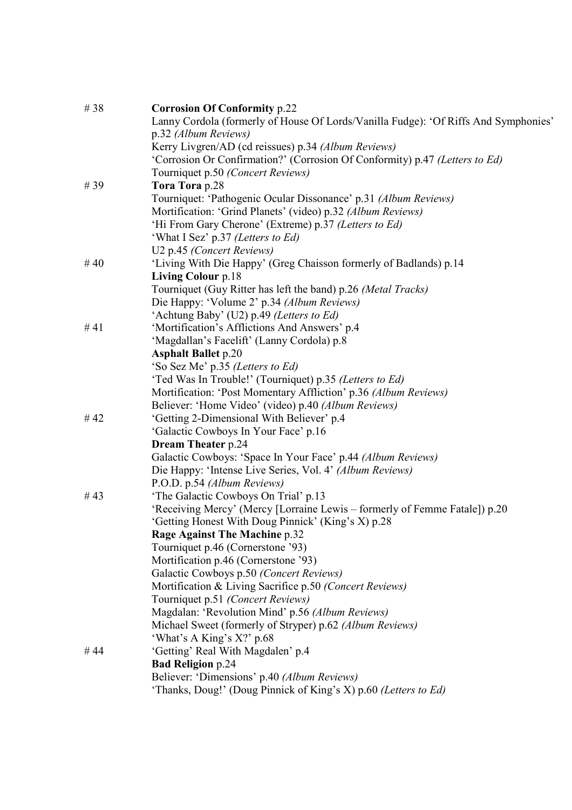| #38  | <b>Corrosion Of Conformity p.22</b>                                                 |
|------|-------------------------------------------------------------------------------------|
|      | Lanny Cordola (formerly of House Of Lords/Vanilla Fudge): 'Of Riffs And Symphonies' |
|      | p.32 (Album Reviews)                                                                |
|      | Kerry Livgren/AD (cd reissues) p.34 (Album Reviews)                                 |
|      | 'Corrosion Or Confirmation?' (Corrosion Of Conformity) p.47 (Letters to Ed)         |
|      | Tourniquet p.50 (Concert Reviews)                                                   |
| # 39 | Tora Tora p.28                                                                      |
|      | Tourniquet: 'Pathogenic Ocular Dissonance' p.31 (Album Reviews)                     |
|      | Mortification: 'Grind Planets' (video) p.32 (Album Reviews)                         |
|      | 'Hi From Gary Cherone' (Extreme) p.37 (Letters to Ed)                               |
|      | 'What I Sez' p.37 (Letters to Ed)                                                   |
|      | U2 p.45 (Concert Reviews)                                                           |
| #40  | 'Living With Die Happy' (Greg Chaisson formerly of Badlands) p.14                   |
|      | Living Colour p.18                                                                  |
|      | Tourniquet (Guy Ritter has left the band) p.26 (Metal Tracks)                       |
|      | Die Happy: 'Volume 2' p.34 (Album Reviews)                                          |
|      | 'Achtung Baby' (U2) p.49 (Letters to Ed)                                            |
| # 41 | 'Mortification's Afflictions And Answers' p.4                                       |
|      | 'Magdallan's Facelift' (Lanny Cordola) p.8                                          |
|      | <b>Asphalt Ballet p.20</b>                                                          |
|      | 'So Sez Me' p.35 (Letters to Ed)                                                    |
|      | 'Ted Was In Trouble!' (Tourniquet) p.35 (Letters to Ed)                             |
|      | Mortification: 'Post Momentary Affliction' p.36 (Album Reviews)                     |
|      | Believer: 'Home Video' (video) p.40 (Album Reviews)                                 |
| # 42 | 'Getting 2-Dimensional With Believer' p.4                                           |
|      | 'Galactic Cowboys In Your Face' p.16                                                |
|      | <b>Dream Theater</b> p.24                                                           |
|      | Galactic Cowboys: 'Space In Your Face' p.44 (Album Reviews)                         |
|      | Die Happy: 'Intense Live Series, Vol. 4' (Album Reviews)                            |
|      | P.O.D. p.54 (Album Reviews)                                                         |
| # 43 | 'The Galactic Cowboys On Trial' p.13                                                |
|      | 'Receiving Mercy' (Mercy [Lorraine Lewis – formerly of Femme Fatale]) p.20          |
|      | 'Getting Honest With Doug Pinnick' (King's X) p.28                                  |
|      | Rage Against The Machine p.32                                                       |
|      | Tourniquet p.46 (Cornerstone '93)                                                   |
|      | Mortification p.46 (Cornerstone '93)                                                |
|      | Galactic Cowboys p.50 (Concert Reviews)                                             |
|      | Mortification & Living Sacrifice p.50 (Concert Reviews)                             |
|      | Tourniquet p.51 (Concert Reviews)                                                   |
|      | Magdalan: 'Revolution Mind' p.56 (Album Reviews)                                    |
|      | Michael Sweet (formerly of Stryper) p.62 (Album Reviews)                            |
|      | 'What's A King's X?' p.68                                                           |
| # 44 | 'Getting' Real With Magdalen' p.4                                                   |
|      | <b>Bad Religion p.24</b>                                                            |
|      | Believer: 'Dimensions' p.40 (Album Reviews)                                         |
|      | 'Thanks, Doug!' (Doug Pinnick of King's X) p.60 (Letters to Ed)                     |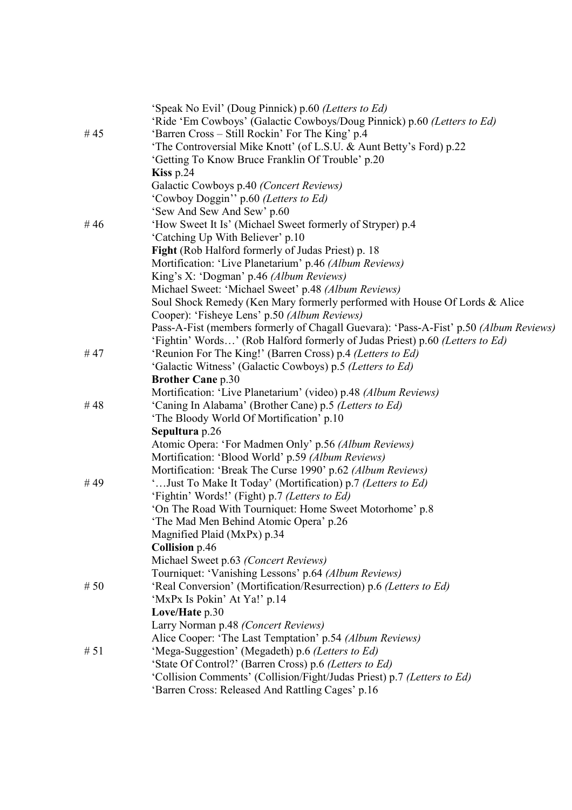|        | 'Speak No Evil' (Doug Pinnick) p.60 (Letters to Ed)                                   |
|--------|---------------------------------------------------------------------------------------|
|        | 'Ride 'Em Cowboys' (Galactic Cowboys/Doug Pinnick) p.60 (Letters to Ed)               |
| #45    | 'Barren Cross - Still Rockin' For The King' p.4                                       |
|        | 'The Controversial Mike Knott' (of L.S.U. & Aunt Betty's Ford) p.22                   |
|        | 'Getting To Know Bruce Franklin Of Trouble' p.20                                      |
|        | <b>Kiss</b> $p.24$                                                                    |
|        | Galactic Cowboys p.40 (Concert Reviews)                                               |
|        | 'Cowboy Doggin'' p.60 (Letters to Ed)                                                 |
|        | 'Sew And Sew And Sew' p.60                                                            |
| #46    | 'How Sweet It Is' (Michael Sweet formerly of Stryper) p.4                             |
|        | 'Catching Up With Believer' p.10                                                      |
|        | <b>Fight</b> (Rob Halford formerly of Judas Priest) p. 18                             |
|        | Mortification: 'Live Planetarium' p.46 (Album Reviews)                                |
|        | King's X: 'Dogman' p.46 (Album Reviews)                                               |
|        | Michael Sweet: 'Michael Sweet' p.48 (Album Reviews)                                   |
|        | Soul Shock Remedy (Ken Mary formerly performed with House Of Lords & Alice            |
|        | Cooper): 'Fisheye Lens' p.50 (Album Reviews)                                          |
|        | Pass-A-Fist (members formerly of Chagall Guevara): 'Pass-A-Fist' p.50 (Album Reviews) |
|        | 'Fightin' Words' (Rob Halford formerly of Judas Priest) p.60 (Letters to Ed)          |
| #47    | 'Reunion For The King!' (Barren Cross) p.4 (Letters to Ed)                            |
|        | 'Galactic Witness' (Galactic Cowboys) p.5 (Letters to Ed)                             |
|        | <b>Brother Cane p.30</b>                                                              |
|        | Mortification: 'Live Planetarium' (video) p.48 (Album Reviews)                        |
| #48    | 'Caning In Alabama' (Brother Cane) p.5 (Letters to Ed)                                |
|        | 'The Bloody World Of Mortification' p.10                                              |
|        | Sepultura p.26                                                                        |
|        | Atomic Opera: 'For Madmen Only' p.56 (Album Reviews)                                  |
|        | Mortification: 'Blood World' p.59 (Album Reviews)                                     |
|        | Mortification: 'Break The Curse 1990' p.62 (Album Reviews)                            |
| #49    | 'Just To Make It Today' (Mortification) p.7 (Letters to Ed)                           |
|        | 'Fightin' Words!' (Fight) p.7 (Letters to Ed)                                         |
|        | 'On The Road With Tourniquet: Home Sweet Motorhome' p.8                               |
|        | 'The Mad Men Behind Atomic Opera' p.26                                                |
|        | Magnified Plaid (MxPx) p.34                                                           |
|        | <b>Collision</b> p.46                                                                 |
|        | Michael Sweet p.63 (Concert Reviews)                                                  |
|        | Tourniquet: 'Vanishing Lessons' p.64 (Album Reviews)                                  |
| #50    | 'Real Conversion' (Mortification/Resurrection) p.6 (Letters to Ed)                    |
|        | 'MxPx Is Pokin' At Ya!' p.14                                                          |
|        | Love/Hate p.30                                                                        |
|        | Larry Norman p.48 (Concert Reviews)                                                   |
|        | Alice Cooper: 'The Last Temptation' p.54 (Album Reviews)                              |
| # $51$ | 'Mega-Suggestion' (Megadeth) p.6 (Letters to Ed)                                      |
|        | 'State Of Control?' (Barren Cross) p.6 (Letters to Ed)                                |
|        | 'Collision Comments' (Collision/Fight/Judas Priest) p.7 (Letters to Ed)               |
|        | 'Barren Cross: Released And Rattling Cages' p.16                                      |
|        |                                                                                       |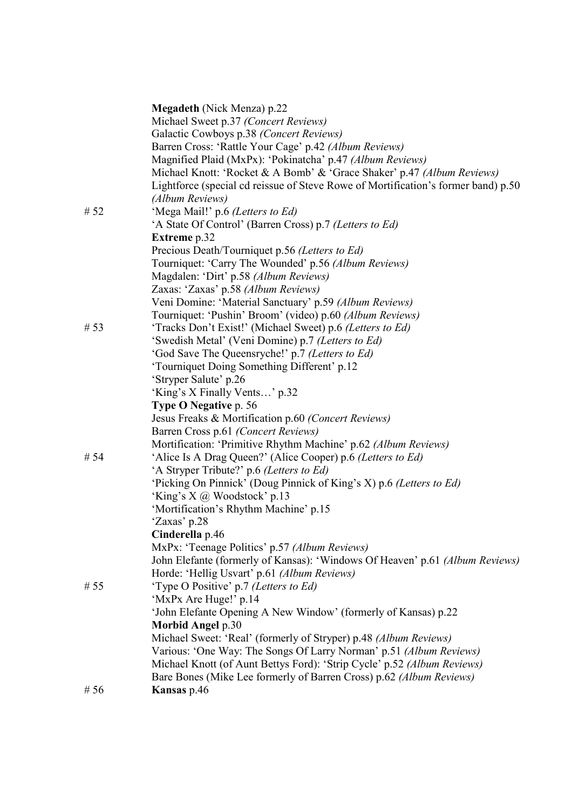|      | <b>Megadeth</b> (Nick Menza) p.22                                                 |
|------|-----------------------------------------------------------------------------------|
|      | Michael Sweet p.37 (Concert Reviews)                                              |
|      | Galactic Cowboys p.38 (Concert Reviews)                                           |
|      | Barren Cross: 'Rattle Your Cage' p.42 (Album Reviews)                             |
|      | Magnified Plaid (MxPx): 'Pokinatcha' p.47 (Album Reviews)                         |
|      | Michael Knott: 'Rocket & A Bomb' & 'Grace Shaker' p.47 (Album Reviews)            |
|      | Lightforce (special cd reissue of Steve Rowe of Mortification's former band) p.50 |
|      | (Album Reviews)                                                                   |
| # 52 | 'Mega Mail!' p.6 (Letters to Ed)                                                  |
|      | 'A State Of Control' (Barren Cross) p.7 (Letters to Ed)                           |
|      | <b>Extreme</b> p.32                                                               |
|      | Precious Death/Tourniquet p.56 (Letters to Ed)                                    |
|      | Tourniquet: 'Carry The Wounded' p.56 (Album Reviews)                              |
|      | Magdalen: 'Dirt' p.58 (Album Reviews)                                             |
|      | Zaxas: 'Zaxas' p.58 (Album Reviews)                                               |
|      | Veni Domine: 'Material Sanctuary' p.59 (Album Reviews)                            |
|      | Tourniquet: 'Pushin' Broom' (video) p.60 (Album Reviews)                          |
| # 53 | 'Tracks Don't Exist!' (Michael Sweet) p.6 (Letters to Ed)                         |
|      | 'Swedish Metal' (Veni Domine) p.7 (Letters to Ed)                                 |
|      | 'God Save The Queensryche!' p.7 (Letters to Ed)                                   |
|      | 'Tourniquet Doing Something Different' p.12                                       |
|      | 'Stryper Salute' p.26                                                             |
|      |                                                                                   |
|      | 'King's X Finally Vents' p.32                                                     |
|      | Type O Negative p. 56                                                             |
|      | Jesus Freaks & Mortification p.60 (Concert Reviews)                               |
|      | Barren Cross p.61 (Concert Reviews)                                               |
|      | Mortification: 'Primitive Rhythm Machine' p.62 (Album Reviews)                    |
| # 54 | 'Alice Is A Drag Queen?' (Alice Cooper) p.6 (Letters to Ed)                       |
|      | 'A Stryper Tribute?' p.6 (Letters to Ed)                                          |
|      | 'Picking On Pinnick' (Doug Pinnick of King's X) p.6 (Letters to Ed)               |
|      | 'King's X @ Woodstock' p.13                                                       |
|      | 'Mortification's Rhythm Machine' p.15                                             |
|      | 'Zaxas' p.28                                                                      |
|      | Cinderella p.46                                                                   |
|      | MxPx: 'Teenage Politics' p.57 (Album Reviews)                                     |
|      | John Elefante (formerly of Kansas): 'Windows Of Heaven' p.61 (Album Reviews)      |
|      | Horde: 'Hellig Usvart' p.61 (Album Reviews)                                       |
| # 55 | 'Type O Positive' p.7 (Letters to Ed)                                             |
|      | 'MxPx Are Huge!' p.14                                                             |
|      | 'John Elefante Opening A New Window' (formerly of Kansas) p.22                    |
|      | <b>Morbid Angel p.30</b>                                                          |
|      | Michael Sweet: 'Real' (formerly of Stryper) p.48 (Album Reviews)                  |
|      | Various: 'One Way: The Songs Of Larry Norman' p.51 (Album Reviews)                |
|      | Michael Knott (of Aunt Bettys Ford): 'Strip Cycle' p.52 (Album Reviews)           |
|      | Bare Bones (Mike Lee formerly of Barren Cross) p.62 (Album Reviews)               |
| # 56 | Kansas p.46                                                                       |
|      |                                                                                   |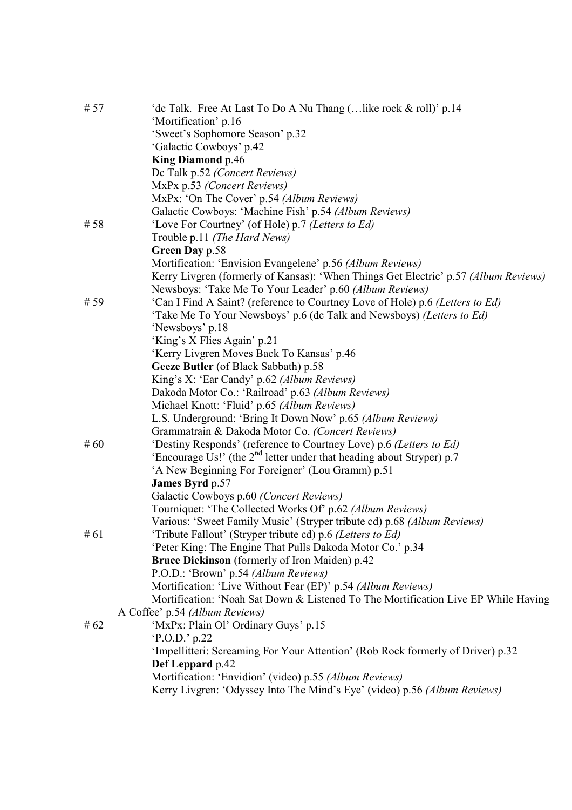| # 57   | 'de Talk. Free At Last To Do A Nu Thang ( like rock & roll)' p.14                   |
|--------|-------------------------------------------------------------------------------------|
|        | 'Mortification' p.16                                                                |
|        | 'Sweet's Sophomore Season' p.32                                                     |
|        | 'Galactic Cowboys' p.42                                                             |
|        | <b>King Diamond p.46</b>                                                            |
|        | Dc Talk p.52 (Concert Reviews)                                                      |
|        | MxPx p.53 (Concert Reviews)                                                         |
|        | MxPx: 'On The Cover' p.54 (Album Reviews)                                           |
|        | Galactic Cowboys: 'Machine Fish' p.54 (Album Reviews)                               |
| # 58   | 'Love For Courtney' (of Hole) p.7 (Letters to Ed)                                   |
|        | Trouble p.11 (The Hard News)                                                        |
|        | <b>Green Day</b> p.58                                                               |
|        | Mortification: 'Envision Evangelene' p.56 (Album Reviews)                           |
|        | Kerry Livgren (formerly of Kansas): 'When Things Get Electric' p.57 (Album Reviews) |
|        | Newsboys: 'Take Me To Your Leader' p.60 (Album Reviews)                             |
| # 59   | 'Can I Find A Saint? (reference to Courtney Love of Hole) p.6 (Letters to Ed)       |
|        | 'Take Me To Your Newsboys' p.6 (dc Talk and Newsboys) (Letters to Ed)               |
|        | 'Newsboys' p.18                                                                     |
|        | 'King's X Flies Again' p.21                                                         |
|        | 'Kerry Livgren Moves Back To Kansas' p.46                                           |
|        | Geeze Butler (of Black Sabbath) p.58                                                |
|        | King's X: 'Ear Candy' p.62 (Album Reviews)                                          |
|        | Dakoda Motor Co.: 'Railroad' p.63 (Album Reviews)                                   |
|        | Michael Knott: 'Fluid' p.65 (Album Reviews)                                         |
|        | L.S. Underground: 'Bring It Down Now' p.65 (Album Reviews)                          |
|        | Grammatrain & Dakoda Motor Co. (Concert Reviews)                                    |
| # $60$ | 'Destiny Responds' (reference to Courtney Love) p.6 (Letters to Ed)                 |
|        | 'Encourage Us!' (the 2 <sup>nd</sup> letter under that heading about Stryper) p.7   |
|        | 'A New Beginning For Foreigner' (Lou Gramm) p.51                                    |
|        | <b>James Byrd</b> p.57                                                              |
|        | Galactic Cowboys p.60 (Concert Reviews)                                             |
|        | Tourniquet: 'The Collected Works Of' p.62 (Album Reviews)                           |
|        | Various: 'Sweet Family Music' (Stryper tribute cd) p.68 (Album Reviews)             |
| # 61   | 'Tribute Fallout' (Stryper tribute cd) p.6 (Letters to Ed)                          |
|        | 'Peter King: The Engine That Pulls Dakoda Motor Co.' p.34                           |
|        | Bruce Dickinson (formerly of Iron Maiden) p.42                                      |
|        | P.O.D.: 'Brown' p.54 (Album Reviews)                                                |
|        | Mortification: 'Live Without Fear (EP)' p.54 (Album Reviews)                        |
|        | Mortification: 'Noah Sat Down & Listened To The Mortification Live EP While Having  |
| #62    | A Coffee' p.54 (Album Reviews)<br>'MxPx: Plain Ol' Ordinary Guys' p.15              |
|        |                                                                                     |
|        | P.O.D.' p.22                                                                        |
|        | 'Impellitteri: Screaming For Your Attention' (Rob Rock formerly of Driver) p.32     |
|        | Def Leppard p.42                                                                    |
|        | Mortification: 'Envidion' (video) p.55 (Album Reviews)                              |
|        | Kerry Livgren: 'Odyssey Into The Mind's Eye' (video) p.56 (Album Reviews)           |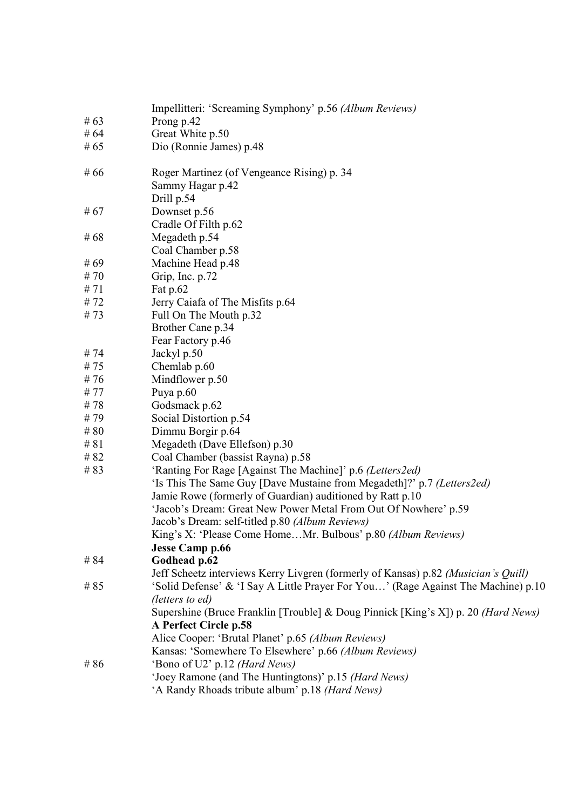|      | Impellitteri: 'Screaming Symphony' p.56 (Album Reviews)                            |
|------|------------------------------------------------------------------------------------|
| # 63 | Prong p.42                                                                         |
| # 64 | Great White p.50                                                                   |
| # 65 | Dio (Ronnie James) p.48                                                            |
| # 66 | Roger Martinez (of Vengeance Rising) p. 34                                         |
|      | Sammy Hagar p.42                                                                   |
|      | Drill p.54                                                                         |
| # 67 | Downset p.56                                                                       |
|      | Cradle Of Filth p.62                                                               |
| # 68 | Megadeth p.54                                                                      |
|      | Coal Chamber p.58                                                                  |
| # 69 | Machine Head p.48                                                                  |
| #70  | Grip, Inc. p.72                                                                    |
| # 71 | Fat p.62                                                                           |
| #72  | Jerry Caiafa of The Misfits p.64                                                   |
| #73  | Full On The Mouth p.32                                                             |
|      | Brother Cane p.34                                                                  |
|      | Fear Factory p.46                                                                  |
| #74  | Jackyl p.50                                                                        |
| #75  | Chemlab p.60                                                                       |
| #76  | Mindflower p.50                                                                    |
| #77  | Puya p.60                                                                          |
| #78  | Godsmack p.62                                                                      |
| #79  | Social Distortion p.54                                                             |
| #80  | Dimmu Borgir p.64                                                                  |
| #81  | Megadeth (Dave Ellefson) p.30                                                      |
| #82  | Coal Chamber (bassist Rayna) p.58                                                  |
| #83  | 'Ranting For Rage [Against The Machine]' p.6 (Letters2ed)                          |
|      | 'Is This The Same Guy [Dave Mustaine from Megadeth]?' p.7 (Letters2ed)             |
|      | Jamie Rowe (formerly of Guardian) auditioned by Ratt p.10                          |
|      | 'Jacob's Dream: Great New Power Metal From Out Of Nowhere' p.59                    |
|      | Jacob's Dream: self-titled p.80 (Album Reviews)                                    |
|      | King's X: 'Please Come HomeMr. Bulbous' p.80 (Album Reviews)                       |
| # 84 | <b>Jesse Camp p.66</b><br>Godhead p.62                                             |
|      | Jeff Scheetz interviews Kerry Livgren (formerly of Kansas) p.82 (Musician's Quill) |
| #85  | 'Solid Defense' & 'I Say A Little Prayer For You' (Rage Against The Machine) p.10  |
|      | (letters to ed)                                                                    |
|      | Supershine (Bruce Franklin [Trouble] & Doug Pinnick [King's X]) p. 20 (Hard News)  |
|      | A Perfect Circle p.58                                                              |
|      | Alice Cooper: 'Brutal Planet' p.65 (Album Reviews)                                 |
|      | Kansas: 'Somewhere To Elsewhere' p.66 (Album Reviews)                              |
| # 86 | 'Bono of U2' p.12 (Hard News)                                                      |
|      | 'Joey Ramone (and The Huntingtons)' p.15 (Hard News)                               |
|      | 'A Randy Rhoads tribute album' p.18 (Hard News)                                    |
|      |                                                                                    |